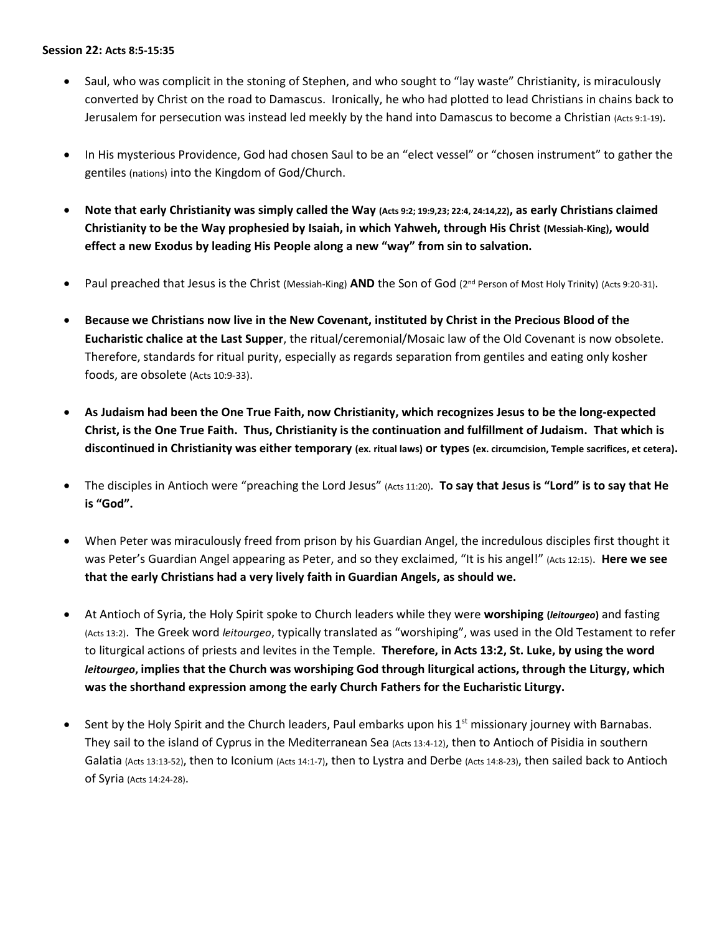## **Session 22: Acts 8:5-15:35**

- Saul, who was complicit in the stoning of Stephen, and who sought to "lay waste" Christianity, is miraculously converted by Christ on the road to Damascus. Ironically, he who had plotted to lead Christians in chains back to Jerusalem for persecution was instead led meekly by the hand into Damascus to become a Christian (Acts 9:1-19).
- In His mysterious Providence, God had chosen Saul to be an "elect vessel" or "chosen instrument" to gather the gentiles (nations) into the Kingdom of God/Church.
- **Note that early Christianity was simply called the Way (Acts 9:2; 19:9,23; 22:4, 24:14,22), as early Christians claimed Christianity to be the Way prophesied by Isaiah, in which Yahweh, through His Christ (Messiah-King), would effect a new Exodus by leading His People along a new "way" from sin to salvation.**
- Paul preached that Jesus is the Christ (Messiah-King) **AND** the Son of God (2<sup>nd</sup> Person of Most Holy Trinity) (Acts 9:20-31).
- **Because we Christians now live in the New Covenant, instituted by Christ in the Precious Blood of the Eucharistic chalice at the Last Supper**, the ritual/ceremonial/Mosaic law of the Old Covenant is now obsolete. Therefore, standards for ritual purity, especially as regards separation from gentiles and eating only kosher foods, are obsolete (Acts 10:9-33).
- **As Judaism had been the One True Faith, now Christianity, which recognizes Jesus to be the long-expected Christ, is the One True Faith. Thus, Christianity is the continuation and fulfillment of Judaism. That which is discontinued in Christianity was either temporary (ex. ritual laws) or types (ex. circumcision, Temple sacrifices, et cetera).**
- The disciples in Antioch were "preaching the Lord Jesus" (Acts 11:20). **To say that Jesus is "Lord" is to say that He is "God".**
- When Peter was miraculously freed from prison by his Guardian Angel, the incredulous disciples first thought it was Peter's Guardian Angel appearing as Peter, and so they exclaimed, "It is his angel!" (Acts 12:15). **Here we see that the early Christians had a very lively faith in Guardian Angels, as should we.**
- At Antioch of Syria, the Holy Spirit spoke to Church leaders while they were **worshiping (***leitourgeo***)** and fasting (Acts 13:2). The Greek word *leitourgeo*, typically translated as "worshiping", was used in the Old Testament to refer to liturgical actions of priests and levites in the Temple. **Therefore, in Acts 13:2, St. Luke, by using the word**  *leitourgeo***, implies that the Church was worshiping God through liturgical actions, through the Liturgy, which was the shorthand expression among the early Church Fathers for the Eucharistic Liturgy.**
- Sent by the Holy Spirit and the Church leaders, Paul embarks upon his  $1<sup>st</sup>$  missionary journey with Barnabas. They sail to the island of Cyprus in the Mediterranean Sea (Acts 13:4-12), then to Antioch of Pisidia in southern Galatia (Acts 13:13-52), then to Iconium (Acts 14:1-7), then to Lystra and Derbe (Acts 14:8-23), then sailed back to Antioch of Syria (Acts 14:24-28).